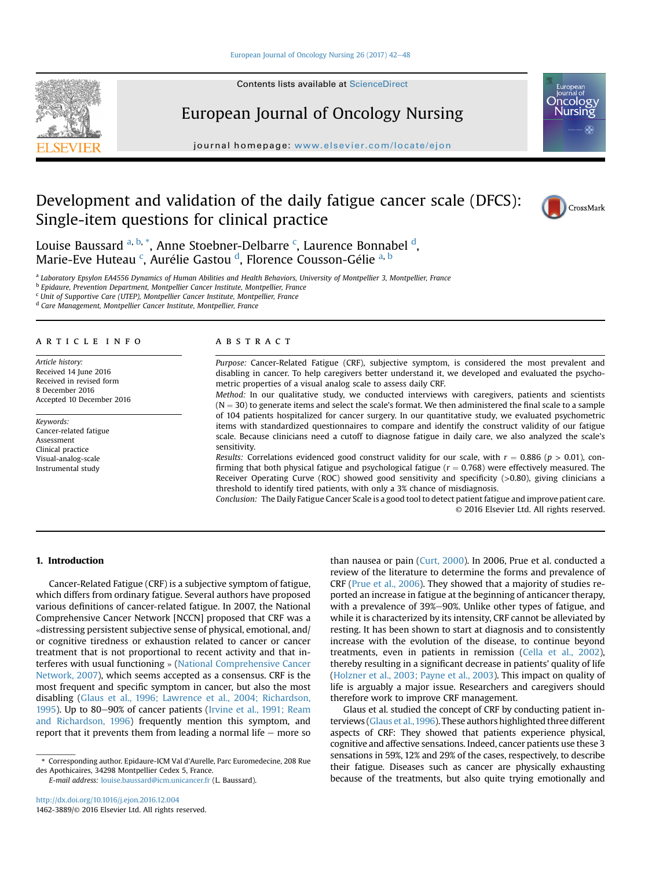### [European Journal of Oncology Nursing 26 \(2017\) 42](http://dx.doi.org/10.1016/j.ejon.2016.12.004)-[48](http://dx.doi.org/10.1016/j.ejon.2016.12.004)

ncolog



European Journal of Oncology Nursing

# Development and validation of the daily fatigue cancer scale (DFCS): Single-item questions for clinical practice



Louise Baussard <sup>a, b,</sup> \*, Anne Stoebner-Delbarre <sup>c</sup>, Laurence Bonnabel <sup>d</sup>, Marie-Eve Huteau <sup>c</sup>, Aurélie Gastou <sup>d</sup>, Florence Cousson-Gélie <sup>a, b</sup>

a Laboratory Epsylon EA4556 Dynamics of Human Abilities and Health Behaviors, University of Montpellier 3, Montpellier, France

<sup>b</sup> Epidaure, Prevention Department, Montpellier Cancer Institute, Montpellier, France

 $c$  Unit of Supportive Care (UTEP), Montpellier Cancer Institute, Montpellier, France

<sup>d</sup> Care Management, Montpellier Cancer Institute, Montpellier, France

# article info

Article history: Received 14 June 2016 Received in revised form 8 December 2016 Accepted 10 December 2016

Keywords: Cancer-related fatigue Assessment Clinical practice Visual-analog-scale Instrumental study

# **ABSTRACT**

Purpose: Cancer-Related Fatigue (CRF), subjective symptom, is considered the most prevalent and disabling in cancer. To help caregivers better understand it, we developed and evaluated the psychometric properties of a visual analog scale to assess daily CRF.

Method: In our qualitative study, we conducted interviews with caregivers, patients and scientists  $(N = 30)$  to generate items and select the scale's format. We then administered the final scale to a sample of 104 patients hospitalized for cancer surgery. In our quantitative study, we evaluated psychometric items with standardized questionnaires to compare and identify the construct validity of our fatigue scale. Because clinicians need a cutoff to diagnose fatigue in daily care, we also analyzed the scale's sensitivity.

Results: Correlations evidenced good construct validity for our scale, with  $r = 0.886$  ( $p > 0.01$ ), confirming that both physical fatigue and psychological fatigue ( $r = 0.768$ ) were effectively measured. The Receiver Operating Curve (ROC) showed good sensitivity and specificity (>0.80), giving clinicians a threshold to identify tired patients, with only a 3% chance of misdiagnosis.

Conclusion: The Daily Fatigue Cancer Scale is a good tool to detect patient fatigue and improve patient care. © 2016 Elsevier Ltd. All rights reserved.

# 1. Introduction

Cancer-Related Fatigue (CRF) is a subjective symptom of fatigue, which differs from ordinary fatigue. Several authors have proposed various definitions of cancer-related fatigue. In 2007, the National Comprehensive Cancer Network [NCCN] proposed that CRF was a «distressing persistent subjective sense of physical, emotional, and/ or cognitive tiredness or exhaustion related to cancer or cancer treatment that is not proportional to recent activity and that interferes with usual functioning » ([National Comprehensive Cancer](#page-6-0) [Network, 2007](#page-6-0)), which seems accepted as a consensus. CRF is the most frequent and specific symptom in cancer, but also the most disabling ([Glaus et al., 1996; Lawrence et al., 2004; Richardson,](#page-6-0) [1995](#page-6-0)). Up to 80-90% of cancer patients ([Irvine et al., 1991; Ream](#page-6-0) [and Richardson, 1996\)](#page-6-0) frequently mention this symptom, and report that it prevents them from leading a normal life  $-$  more so

E-mail address: [louise.baussard@icm.unicancer.fr](mailto:louise.baussard@icm.unicancer.fr) (L. Baussard).

than nausea or pain ([Curt, 2000\)](#page-6-0). In 2006, Prue et al. conducted a review of the literature to determine the forms and prevalence of CRF ([Prue et al., 2006](#page-6-0)). They showed that a majority of studies reported an increase in fatigue at the beginning of anticancer therapy, with a prevalence of 39%-90%. Unlike other types of fatigue, and while it is characterized by its intensity, CRF cannot be alleviated by resting. It has been shown to start at diagnosis and to consistently increase with the evolution of the disease, to continue beyond treatments, even in patients in remission ([Cella et al., 2002\)](#page-6-0), thereby resulting in a significant decrease in patients' quality of life ([Holzner et al., 2003; Payne et al., 2003](#page-6-0)). This impact on quality of life is arguably a major issue. Researchers and caregivers should therefore work to improve CRF management.

Glaus et al. studied the concept of CRF by conducting patient interviews ([Glaus et al.,1996](#page-6-0)). These authors highlighted three different aspects of CRF: They showed that patients experience physical, cognitive and affective sensations. Indeed, cancer patients use these 3 sensations in 59%, 12% and 29% of the cases, respectively, to describe their fatigue. Diseases such as cancer are physically exhausting because of the treatments, but also quite trying emotionally and

<sup>\*</sup> Corresponding author. Epidaure-ICM Val d'Aurelle, Parc Euromedecine, 208 Rue des Apothicaires, 34298 Montpellier Cedex 5, France.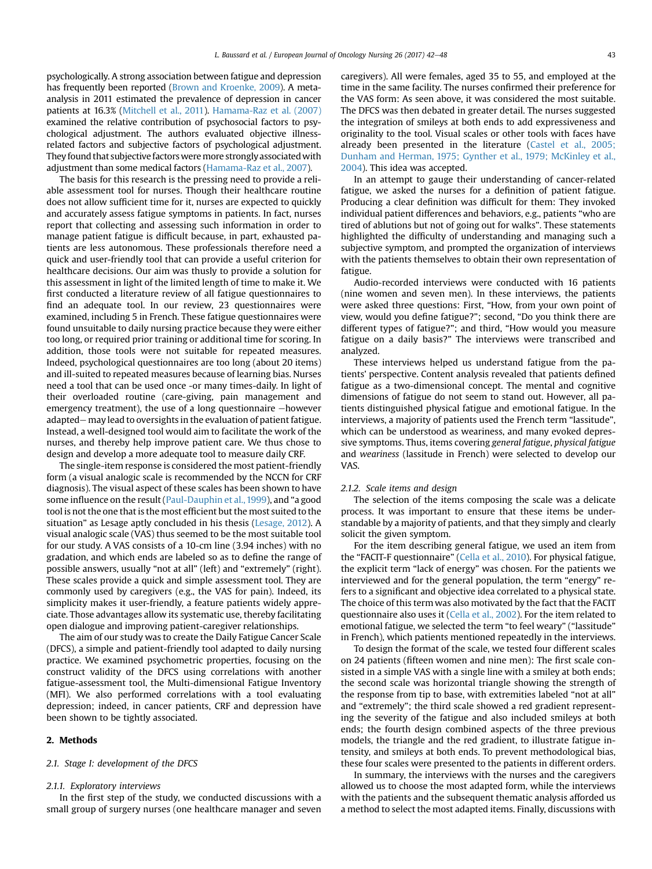psychologically. A strong association between fatigue and depression has frequently been reported [\(Brown and Kroenke, 2009\)](#page-6-0). A metaanalysis in 2011 estimated the prevalence of depression in cancer patients at 16.3% [\(Mitchell et al., 2011](#page-6-0)). [Hamama-Raz et al. \(2007\)](#page-6-0) examined the relative contribution of psychosocial factors to psychological adjustment. The authors evaluated objective illnessrelated factors and subjective factors of psychological adjustment. They found that subjective factors weremore strongly associatedwith adjustment than some medical factors ([Hamama-Raz et al., 2007\)](#page-6-0).

The basis for this research is the pressing need to provide a reliable assessment tool for nurses. Though their healthcare routine does not allow sufficient time for it, nurses are expected to quickly and accurately assess fatigue symptoms in patients. In fact, nurses report that collecting and assessing such information in order to manage patient fatigue is difficult because, in part, exhausted patients are less autonomous. These professionals therefore need a quick and user-friendly tool that can provide a useful criterion for healthcare decisions. Our aim was thusly to provide a solution for this assessment in light of the limited length of time to make it. We first conducted a literature review of all fatigue questionnaires to find an adequate tool. In our review, 23 questionnaires were examined, including 5 in French. These fatigue questionnaires were found unsuitable to daily nursing practice because they were either too long, or required prior training or additional time for scoring. In addition, those tools were not suitable for repeated measures. Indeed, psychological questionnaires are too long (about 20 items) and ill-suited to repeated measures because of learning bias. Nurses need a tool that can be used once -or many times-daily. In light of their overloaded routine (care-giving, pain management and emergency treatment), the use of a long questionnaire  $-\text{however}$ adapted– may lead to oversights in the evaluation of patient fatigue. Instead, a well-designed tool would aim to facilitate the work of the nurses, and thereby help improve patient care. We thus chose to design and develop a more adequate tool to measure daily CRF.

The single-item response is considered the most patient-friendly form (a visual analogic scale is recommended by the NCCN for CRF diagnosis). The visual aspect of these scales has been shown to have some influence on the result (Paul-Dauphin et al., 1999), and "a good tool is not the one that is the most efficient but the most suited to the situation" as Lesage aptly concluded in his thesis [\(Lesage, 2012\)](#page-6-0). A visual analogic scale (VAS) thus seemed to be the most suitable tool for our study. A VAS consists of a 10-cm line (3.94 inches) with no gradation, and which ends are labeled so as to define the range of possible answers, usually "not at all" (left) and "extremely" (right). These scales provide a quick and simple assessment tool. They are commonly used by caregivers (e.g., the VAS for pain). Indeed, its simplicity makes it user-friendly, a feature patients widely appreciate. Those advantages allow its systematic use, thereby facilitating open dialogue and improving patient-caregiver relationships.

The aim of our study was to create the Daily Fatigue Cancer Scale (DFCS), a simple and patient-friendly tool adapted to daily nursing practice. We examined psychometric properties, focusing on the construct validity of the DFCS using correlations with another fatigue-assessment tool, the Multi-dimensional Fatigue Inventory (MFI). We also performed correlations with a tool evaluating depression; indeed, in cancer patients, CRF and depression have been shown to be tightly associated.

# 2. Methods

# 2.1. Stage I: development of the DFCS

# 2.1.1. Exploratory interviews

In the first step of the study, we conducted discussions with a small group of surgery nurses (one healthcare manager and seven caregivers). All were females, aged 35 to 55, and employed at the time in the same facility. The nurses confirmed their preference for the VAS form: As seen above, it was considered the most suitable. The DFCS was then debated in greater detail. The nurses suggested the integration of smileys at both ends to add expressiveness and originality to the tool. Visual scales or other tools with faces have already been presented in the literature ([Castel et al., 2005;](#page-6-0) [Dunham and Herman, 1975; Gynther et al., 1979; McKinley et al.,](#page-6-0) [2004\)](#page-6-0). This idea was accepted.

In an attempt to gauge their understanding of cancer-related fatigue, we asked the nurses for a definition of patient fatigue. Producing a clear definition was difficult for them: They invoked individual patient differences and behaviors, e.g., patients "who are tired of ablutions but not of going out for walks". These statements highlighted the difficulty of understanding and managing such a subjective symptom, and prompted the organization of interviews with the patients themselves to obtain their own representation of fatigue.

Audio-recorded interviews were conducted with 16 patients (nine women and seven men). In these interviews, the patients were asked three questions: First, "How, from your own point of view, would you define fatigue?"; second, "Do you think there are different types of fatigue?"; and third, "How would you measure fatigue on a daily basis?" The interviews were transcribed and analyzed.

These interviews helped us understand fatigue from the patients' perspective. Content analysis revealed that patients defined fatigue as a two-dimensional concept. The mental and cognitive dimensions of fatigue do not seem to stand out. However, all patients distinguished physical fatigue and emotional fatigue. In the interviews, a majority of patients used the French term "lassitude", which can be understood as weariness, and many evoked depressive symptoms. Thus, items covering general fatigue, physical fatigue and weariness (lassitude in French) were selected to develop our VAS.

#### 2.1.2. Scale items and design

The selection of the items composing the scale was a delicate process. It was important to ensure that these items be understandable by a majority of patients, and that they simply and clearly solicit the given symptom.

For the item describing general fatigue, we used an item from the "FACIT-F questionnaire" [\(Cella et al., 2010\)](#page-6-0). For physical fatigue, the explicit term "lack of energy" was chosen. For the patients we interviewed and for the general population, the term "energy" refers to a significant and objective idea correlated to a physical state. The choice of this term was also motivated by the fact that the FACIT questionnaire also uses it [\(Cella et al., 2002](#page-6-0)). For the item related to emotional fatigue, we selected the term "to feel weary" ("lassitude" in French), which patients mentioned repeatedly in the interviews.

To design the format of the scale, we tested four different scales on 24 patients (fifteen women and nine men): The first scale consisted in a simple VAS with a single line with a smiley at both ends; the second scale was horizontal triangle showing the strength of the response from tip to base, with extremities labeled "not at all" and "extremely"; the third scale showed a red gradient representing the severity of the fatigue and also included smileys at both ends; the fourth design combined aspects of the three previous models, the triangle and the red gradient, to illustrate fatigue intensity, and smileys at both ends. To prevent methodological bias, these four scales were presented to the patients in different orders.

In summary, the interviews with the nurses and the caregivers allowed us to choose the most adapted form, while the interviews with the patients and the subsequent thematic analysis afforded us a method to select the most adapted items. Finally, discussions with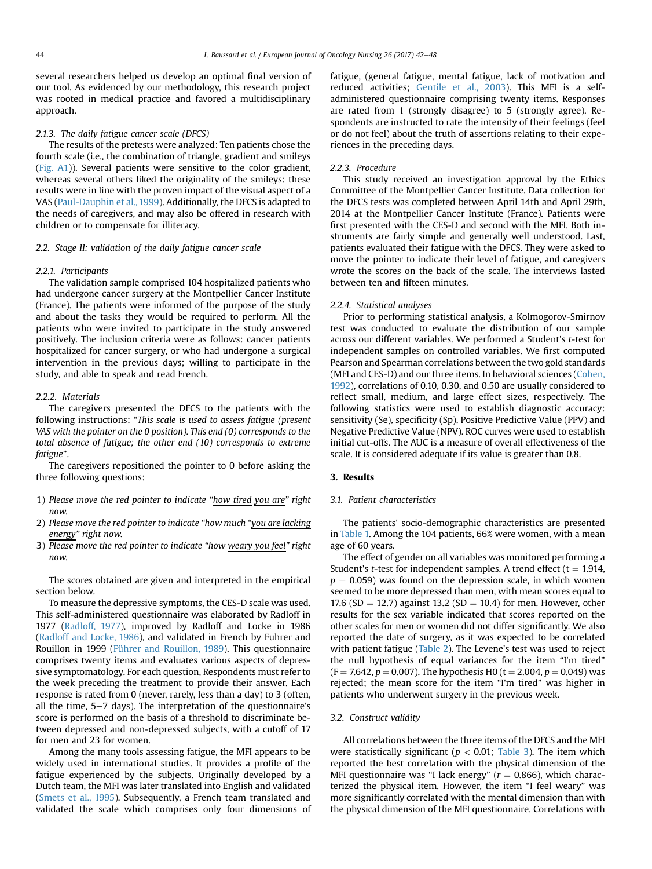several researchers helped us develop an optimal final version of our tool. As evidenced by our methodology, this research project was rooted in medical practice and favored a multidisciplinary approach.

# 2.1.3. The daily fatigue cancer scale (DFCS)

The results of the pretests were analyzed: Ten patients chose the fourth scale (i.e., the combination of triangle, gradient and smileys ([Fig. A1\)](#page-5-0)). Several patients were sensitive to the color gradient, whereas several others liked the originality of the smileys: these results were in line with the proven impact of the visual aspect of a VAS ([Paul-Dauphin et al., 1999](#page-6-0)). Additionally, the DFCS is adapted to the needs of caregivers, and may also be offered in research with children or to compensate for illiteracy.

# 2.2. Stage II: validation of the daily fatigue cancer scale

# 2.2.1. Participants

The validation sample comprised 104 hospitalized patients who had undergone cancer surgery at the Montpellier Cancer Institute (France). The patients were informed of the purpose of the study and about the tasks they would be required to perform. All the patients who were invited to participate in the study answered positively. The inclusion criteria were as follows: cancer patients hospitalized for cancer surgery, or who had undergone a surgical intervention in the previous days; willing to participate in the study, and able to speak and read French.

## 2.2.2. Materials

The caregivers presented the DFCS to the patients with the following instructions: "This scale is used to assess fatigue (present VAS with the pointer on the 0 position). This end (0) corresponds to the total absence of fatigue; the other end (10) corresponds to extreme fatigue".

The caregivers repositioned the pointer to 0 before asking the three following questions:

- 1) Please move the red pointer to indicate "how tired you are" right now.
- 2) Please move the red pointer to indicate "how much "you are lacking energy" right now.
- 3) Please move the red pointer to indicate "how weary you feel" right now.

The scores obtained are given and interpreted in the empirical section below.

To measure the depressive symptoms, the CES-D scale was used. This self-administered questionnaire was elaborated by Radloff in 1977 [\(Radloff, 1977](#page-6-0)), improved by Radloff and Locke in 1986 ([Radloff and Locke, 1986](#page-6-0)), and validated in French by Fuhrer and Rouillon in 1999 ([Führer and Rouillon, 1989](#page-6-0)). This questionnaire comprises twenty items and evaluates various aspects of depressive symptomatology. For each question, Respondents must refer to the week preceding the treatment to provide their answer. Each response is rated from 0 (never, rarely, less than a day) to 3 (often, all the time,  $5-7$  days). The interpretation of the questionnaire's score is performed on the basis of a threshold to discriminate between depressed and non-depressed subjects, with a cutoff of 17 for men and 23 for women.

Among the many tools assessing fatigue, the MFI appears to be widely used in international studies. It provides a profile of the fatigue experienced by the subjects. Originally developed by a Dutch team, the MFI was later translated into English and validated ([Smets et al., 1995\)](#page-6-0). Subsequently, a French team translated and validated the scale which comprises only four dimensions of fatigue, (general fatigue, mental fatigue, lack of motivation and reduced activities; [Gentile et al., 2003](#page-6-0)). This MFI is a selfadministered questionnaire comprising twenty items. Responses are rated from 1 (strongly disagree) to 5 (strongly agree). Respondents are instructed to rate the intensity of their feelings (feel or do not feel) about the truth of assertions relating to their experiences in the preceding days.

### 2.2.3. Procedure

This study received an investigation approval by the Ethics Committee of the Montpellier Cancer Institute. Data collection for the DFCS tests was completed between April 14th and April 29th, 2014 at the Montpellier Cancer Institute (France). Patients were first presented with the CES-D and second with the MFI. Both instruments are fairly simple and generally well understood. Last, patients evaluated their fatigue with the DFCS. They were asked to move the pointer to indicate their level of fatigue, and caregivers wrote the scores on the back of the scale. The interviews lasted between ten and fifteen minutes.

# 2.2.4. Statistical analyses

Prior to performing statistical analysis, a Kolmogorov-Smirnov test was conducted to evaluate the distribution of our sample across our different variables. We performed a Student's t-test for independent samples on controlled variables. We first computed Pearson and Spearman correlations between the two gold standards (MFI and CES-D) and our three items. In behavioral sciences [\(Cohen,](#page-6-0) [1992](#page-6-0)), correlations of 0.10, 0.30, and 0.50 are usually considered to reflect small, medium, and large effect sizes, respectively. The following statistics were used to establish diagnostic accuracy: sensitivity (Se), specificity (Sp), Positive Predictive Value (PPV) and Negative Predictive Value (NPV). ROC curves were used to establish initial cut-offs. The AUC is a measure of overall effectiveness of the scale. It is considered adequate if its value is greater than 0.8.

#### 3. Results

# 3.1. Patient characteristics

The patients' socio-demographic characteristics are presented in [Table 1.](#page-3-0) Among the 104 patients, 66% were women, with a mean age of 60 years.

The effect of gender on all variables was monitored performing a Student's *t*-test for independent samples. A trend effect ( $t = 1.914$ ,  $p = 0.059$ ) was found on the depression scale, in which women seemed to be more depressed than men, with mean scores equal to 17.6 (SD = 12.7) against 13.2 (SD = 10.4) for men. However, other results for the sex variable indicated that scores reported on the other scales for men or women did not differ significantly. We also reported the date of surgery, as it was expected to be correlated with patient fatigue ([Table 2\)](#page-3-0). The Levene's test was used to reject the null hypothesis of equal variances for the item "I'm tired"  $(F = 7.642, p = 0.007)$ . The hypothesis H0 (t = 2.004, p = 0.049) was rejected; the mean score for the item "I'm tired" was higher in patients who underwent surgery in the previous week.

# 3.2. Construct validity

All correlations between the three items of the DFCS and the MFI were statistically significant ( $p < 0.01$ ; [Table 3](#page-4-0)). The item which reported the best correlation with the physical dimension of the MFI questionnaire was "I lack energy" ( $r = 0.866$ ), which characterized the physical item. However, the item "I feel weary" was more significantly correlated with the mental dimension than with the physical dimension of the MFI questionnaire. Correlations with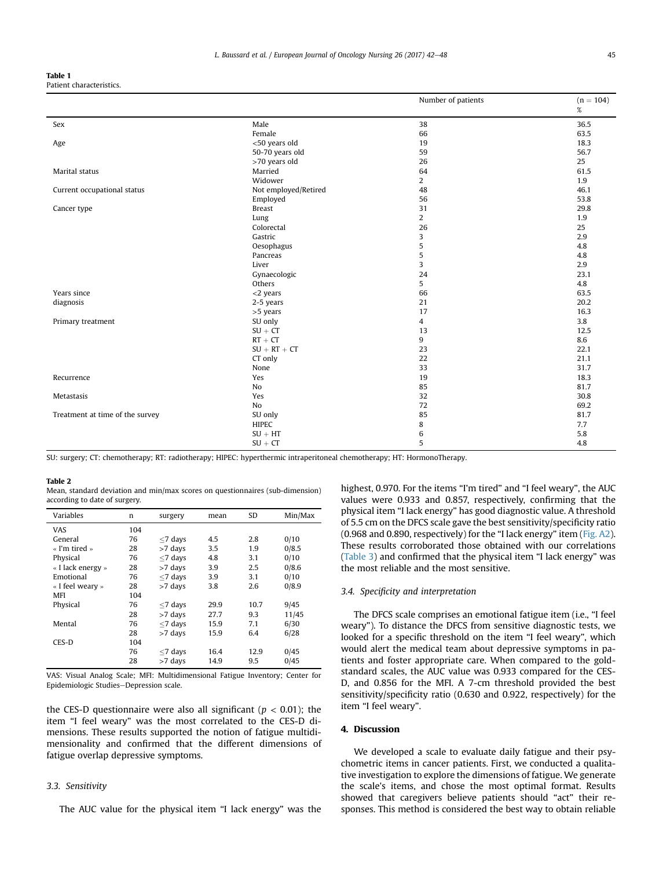<span id="page-3-0"></span>

|--|

Patient characteristics.

|                                 |                      | Number of patients | $(n = 104)$<br>% |
|---------------------------------|----------------------|--------------------|------------------|
| Sex                             | Male                 | 38                 | 36.5             |
|                                 | Female               | 66                 | 63.5             |
| Age                             | <50 years old        | 19                 | 18.3             |
|                                 | 50-70 years old      | 59                 | 56.7             |
|                                 | >70 years old        | 26                 | 25               |
| Marital status                  | Married              | 64                 | 61.5             |
|                                 | Widower              | $\overline{2}$     | 1.9              |
| Current occupational status     | Not employed/Retired | 48                 | 46.1             |
|                                 | Employed             | 56                 | 53.8             |
| Cancer type                     | <b>Breast</b>        | 31                 | 29.8             |
|                                 | Lung                 | $\overline{2}$     | 1.9              |
|                                 | Colorectal           | 26                 | 25               |
|                                 | Gastric              | 3                  | 2.9              |
|                                 | Oesophagus           | 5                  | 4.8              |
|                                 | Pancreas             | 5                  | 4.8              |
|                                 | Liver                | 3                  | 2.9              |
|                                 | Gynaecologic         | 24                 | 23.1             |
|                                 | Others               | 5                  | 4.8              |
| Years since                     | $<$ 2 years          | 66                 | 63.5             |
| diagnosis                       | 2-5 years            | 21                 | 20.2             |
|                                 | $>5$ years           | 17                 | 16.3             |
| Primary treatment               | SU only              | 4                  | 3.8              |
|                                 | $SU + CT$            | 13                 | 12.5             |
|                                 | $RT + CT$            | 9                  | 8.6              |
|                                 | $SU + RT + CT$       | 23                 | 22.1             |
|                                 | CT only              | 22                 | 21.1             |
|                                 | None                 | 33                 | 31.7             |
| Recurrence                      | Yes                  | 19                 | 18.3             |
|                                 | No                   | 85                 | 81.7             |
| Metastasis                      | Yes                  | 32                 | 30.8             |
|                                 | No                   | 72                 | 69.2             |
| Treatment at time of the survey | SU only              | 85                 | 81.7             |
|                                 | <b>HIPEC</b>         | 8                  | 7.7              |
|                                 | $SU + HT$            | 6                  | 5.8              |
|                                 | $SU + CT$            | 5                  | 4.8              |

SU: surgery; CT: chemotherapy; RT: radiotherapy; HIPEC: hyperthermic intraperitoneal chemotherapy; HT: HormonoTherapy.

#### Table 2

|                               |  |  | Mean, standard deviation and min/max scores on questionnaires (sub-dimension) |  |
|-------------------------------|--|--|-------------------------------------------------------------------------------|--|
| according to date of surgery. |  |  |                                                                               |  |

| Variables         | n   | surgery    | mean | SD   | Min/Max |
|-------------------|-----|------------|------|------|---------|
| VAS               | 104 |            |      |      |         |
| General           | 76  | $<$ 7 days | 4.5  | 2.8  | 0/10    |
| « I'm tired »     | 28  | >7 days    | 3.5  | 1.9  | 0/8.5   |
| Physical          | 76  | $<$ 7 days | 4.8  | 3.1  | 0/10    |
| « I lack energy » | 28  | >7 days    | 3.9  | 2.5  | 0/8.6   |
| Emotional         | 76  | $<$ 7 days | 3.9  | 3.1  | 0/10    |
| « I feel weary »  | 28  | >7 days    | 3.8  | 2.6  | 0/8.9   |
| MFI               | 104 |            |      |      |         |
| Physical          | 76  | $<$ 7 days | 29.9 | 10.7 | 9/45    |
|                   | 28  | >7 days    | 27.7 | 9.3  | 11/45   |
| Mental            | 76  | $<$ 7 days | 15.9 | 7.1  | 6/30    |
|                   | 28  | $>7$ days  | 15.9 | 6.4  | 6/28    |
| CES-D             | 104 |            |      |      |         |
|                   | 76  | $<$ 7 days | 16.4 | 12.9 | 0/45    |
|                   | 28  | >7 days    | 14.9 | 9.5  | 0/45    |

VAS: Visual Analog Scale; MFI: Multidimensional Fatigue Inventory; Center for Epidemiologic Studies-Depression scale.

the CES-D questionnaire were also all significant ( $p < 0.01$ ); the item "I feel weary" was the most correlated to the CES-D dimensions. These results supported the notion of fatigue multidimensionality and confirmed that the different dimensions of fatigue overlap depressive symptoms.

# 3.3. Sensitivity

The AUC value for the physical item "I lack energy" was the

highest, 0.970. For the items "I'm tired" and "I feel weary", the AUC values were 0.933 and 0.857, respectively, confirming that the physical item "I lack energy" has good diagnostic value. A threshold of 5.5 cm on the DFCS scale gave the best sensitivity/specificity ratio (0.968 and 0.890, respectively) for the "I lack energy" item ([Fig. A2\)](#page-5-0). These results corroborated those obtained with our correlations ([Table 3\)](#page-4-0) and confirmed that the physical item "I lack energy" was the most reliable and the most sensitive.

# 3.4. Specificity and interpretation

The DFCS scale comprises an emotional fatigue item (i.e., "I feel weary"). To distance the DFCS from sensitive diagnostic tests, we looked for a specific threshold on the item "I feel weary", which would alert the medical team about depressive symptoms in patients and foster appropriate care. When compared to the goldstandard scales, the AUC value was 0.933 compared for the CES-D, and 0.856 for the MFI. A 7-cm threshold provided the best sensitivity/specificity ratio (0.630 and 0.922, respectively) for the item "I feel weary".

# 4. Discussion

We developed a scale to evaluate daily fatigue and their psychometric items in cancer patients. First, we conducted a qualitative investigation to explore the dimensions of fatigue. We generate the scale's items, and chose the most optimal format. Results showed that caregivers believe patients should "act" their responses. This method is considered the best way to obtain reliable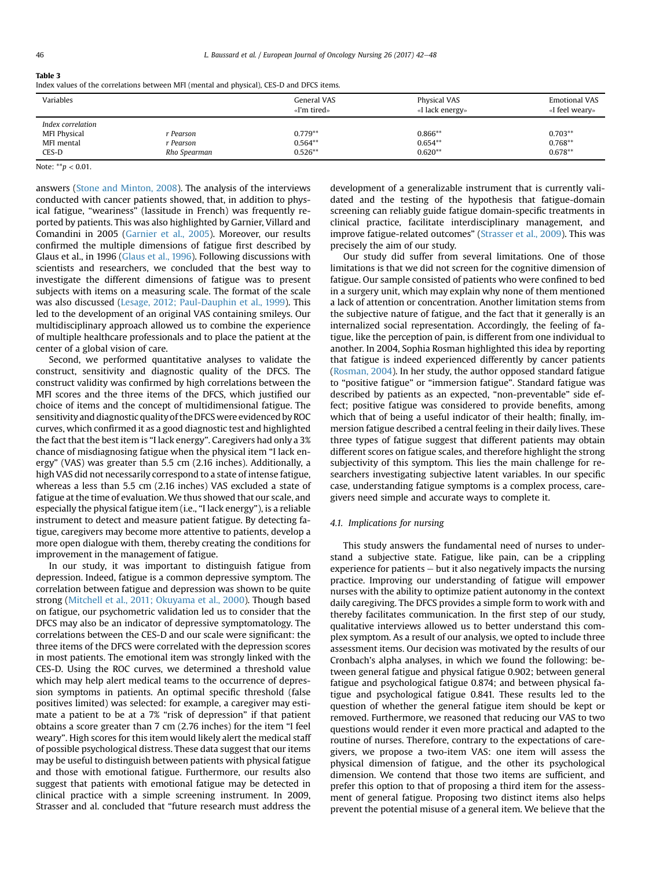<span id="page-4-0"></span>

Table 3

| тание э<br>Index values of the correlations between MFI (mental and physical), CES-D and DFCS items. |                                            |
|------------------------------------------------------------------------------------------------------|--------------------------------------------|
| Variables                                                                                            | General VAS<br>$\omega$ I'm tired $\omega$ |

| Variables                                                |                                        | General VAS<br>«I'm tired»          | Physical VAS<br>«I lack energy»     | Emotional VAS<br>«I feel weary»     |
|----------------------------------------------------------|----------------------------------------|-------------------------------------|-------------------------------------|-------------------------------------|
| Index correlation<br>MFI Physical<br>MFI mental<br>CES-D | r Pearson<br>r Pearson<br>Rho Spearman | $0.779**$<br>$0.564**$<br>$0.526**$ | $0.866**$<br>$0.654**$<br>$0.620**$ | $0.703**$<br>$0.768**$<br>$0.678**$ |

Note: \*\*p < 0.01.

answers ([Stone and Minton, 2008\)](#page-6-0). The analysis of the interviews conducted with cancer patients showed, that, in addition to physical fatigue, "weariness" (lassitude in French) was frequently reported by patients. This was also highlighted by Garnier, Villard and Comandini in 2005 ([Garnier et al., 2005\)](#page-6-0). Moreover, our results confirmed the multiple dimensions of fatigue first described by Glaus et al., in 1996 ([Glaus et al., 1996\)](#page-6-0). Following discussions with scientists and researchers, we concluded that the best way to investigate the different dimensions of fatigue was to present subjects with items on a measuring scale. The format of the scale was also discussed [\(Lesage, 2012; Paul-Dauphin et al., 1999](#page-6-0)). This led to the development of an original VAS containing smileys. Our multidisciplinary approach allowed us to combine the experience of multiple healthcare professionals and to place the patient at the center of a global vision of care.

Second, we performed quantitative analyses to validate the construct, sensitivity and diagnostic quality of the DFCS. The construct validity was confirmed by high correlations between the MFI scores and the three items of the DFCS, which justified our choice of items and the concept of multidimensional fatigue. The sensitivity and diagnostic quality of the DFCS were evidenced by ROC curves, which confirmed it as a good diagnostic test and highlighted the fact that the best item is "I lack energy". Caregivers had only a 3% chance of misdiagnosing fatigue when the physical item "I lack energy" (VAS) was greater than 5.5 cm (2.16 inches). Additionally, a high VAS did not necessarily correspond to a state of intense fatigue, whereas a less than 5.5 cm (2.16 inches) VAS excluded a state of fatigue at the time of evaluation. We thus showed that our scale, and especially the physical fatigue item (i.e., "I lack energy"), is a reliable instrument to detect and measure patient fatigue. By detecting fatigue, caregivers may become more attentive to patients, develop a more open dialogue with them, thereby creating the conditions for improvement in the management of fatigue.

In our study, it was important to distinguish fatigue from depression. Indeed, fatigue is a common depressive symptom. The correlation between fatigue and depression was shown to be quite strong [\(Mitchell et al., 2011; Okuyama et al., 2000](#page-6-0)). Though based on fatigue, our psychometric validation led us to consider that the DFCS may also be an indicator of depressive symptomatology. The correlations between the CES-D and our scale were significant: the three items of the DFCS were correlated with the depression scores in most patients. The emotional item was strongly linked with the CES-D. Using the ROC curves, we determined a threshold value which may help alert medical teams to the occurrence of depression symptoms in patients. An optimal specific threshold (false positives limited) was selected: for example, a caregiver may estimate a patient to be at a 7% "risk of depression" if that patient obtains a score greater than 7 cm (2.76 inches) for the item "I feel weary". High scores for this item would likely alert the medical staff of possible psychological distress. These data suggest that our items may be useful to distinguish between patients with physical fatigue and those with emotional fatigue. Furthermore, our results also suggest that patients with emotional fatigue may be detected in clinical practice with a simple screening instrument. In 2009, Strasser and al. concluded that "future research must address the development of a generalizable instrument that is currently validated and the testing of the hypothesis that fatigue-domain screening can reliably guide fatigue domain-specific treatments in clinical practice, facilitate interdisciplinary management, and improve fatigue-related outcomes" [\(Strasser et al., 2009\)](#page-6-0). This was precisely the aim of our study.

Physical VAS

Our study did suffer from several limitations. One of those limitations is that we did not screen for the cognitive dimension of fatigue. Our sample consisted of patients who were confined to bed in a surgery unit, which may explain why none of them mentioned a lack of attention or concentration. Another limitation stems from the subjective nature of fatigue, and the fact that it generally is an internalized social representation. Accordingly, the feeling of fatigue, like the perception of pain, is different from one individual to another. In 2004, Sophia Rosman highlighted this idea by reporting that fatigue is indeed experienced differently by cancer patients ([Rosman, 2004](#page-6-0)). In her study, the author opposed standard fatigue to "positive fatigue" or "immersion fatigue". Standard fatigue was described by patients as an expected, "non-preventable" side effect; positive fatigue was considered to provide benefits, among which that of being a useful indicator of their health; finally, immersion fatigue described a central feeling in their daily lives. These three types of fatigue suggest that different patients may obtain different scores on fatigue scales, and therefore highlight the strong subjectivity of this symptom. This lies the main challenge for researchers investigating subjective latent variables. In our specific case, understanding fatigue symptoms is a complex process, caregivers need simple and accurate ways to complete it.

# 4.1. Implications for nursing

This study answers the fundamental need of nurses to understand a subjective state. Fatigue, like pain, can be a crippling experience for patients  $-$  but it also negatively impacts the nursing practice. Improving our understanding of fatigue will empower nurses with the ability to optimize patient autonomy in the context daily caregiving. The DFCS provides a simple form to work with and thereby facilitates communication. In the first step of our study, qualitative interviews allowed us to better understand this complex symptom. As a result of our analysis, we opted to include three assessment items. Our decision was motivated by the results of our Cronbach's alpha analyses, in which we found the following: between general fatigue and physical fatigue 0.902; between general fatigue and psychological fatigue 0.874; and between physical fatigue and psychological fatigue 0.841. These results led to the question of whether the general fatigue item should be kept or removed. Furthermore, we reasoned that reducing our VAS to two questions would render it even more practical and adapted to the routine of nurses. Therefore, contrary to the expectations of caregivers, we propose a two-item VAS: one item will assess the physical dimension of fatigue, and the other its psychological dimension. We contend that those two items are sufficient, and prefer this option to that of proposing a third item for the assessment of general fatigue. Proposing two distinct items also helps prevent the potential misuse of a general item. We believe that the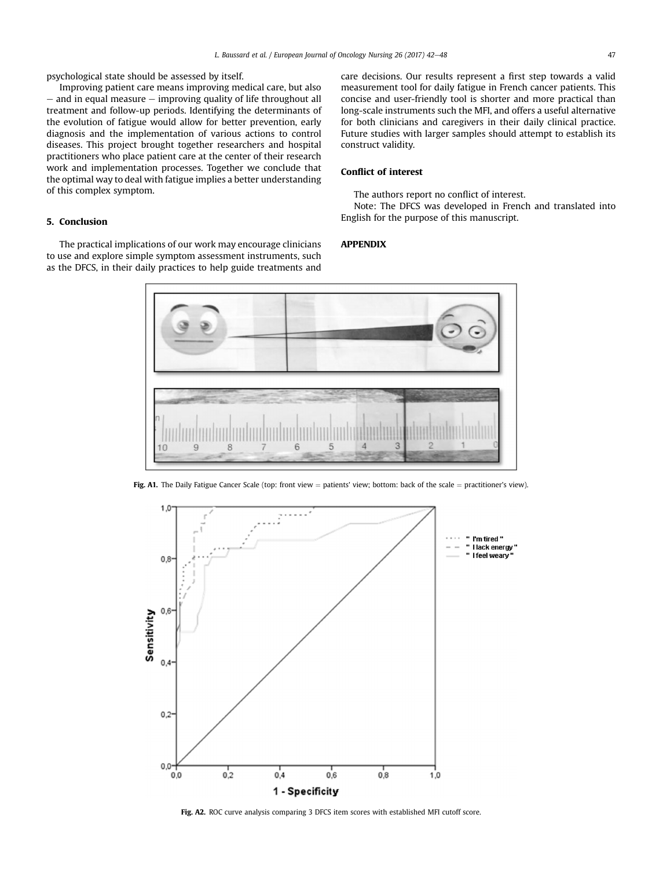<span id="page-5-0"></span>psychological state should be assessed by itself.

Improving patient care means improving medical care, but also  $-$  and in equal measure  $-$  improving quality of life throughout all treatment and follow-up periods. Identifying the determinants of the evolution of fatigue would allow for better prevention, early diagnosis and the implementation of various actions to control diseases. This project brought together researchers and hospital practitioners who place patient care at the center of their research work and implementation processes. Together we conclude that the optimal way to deal with fatigue implies a better understanding of this complex symptom.

# 5. Conclusion

The practical implications of our work may encourage clinicians to use and explore simple symptom assessment instruments, such as the DFCS, in their daily practices to help guide treatments and

care decisions. Our results represent a first step towards a valid measurement tool for daily fatigue in French cancer patients. This concise and user-friendly tool is shorter and more practical than long-scale instruments such the MFI, and offers a useful alternative for both clinicians and caregivers in their daily clinical practice. Future studies with larger samples should attempt to establish its construct validity.

# Conflict of interest

The authors report no conflict of interest.

Note: The DFCS was developed in French and translated into English for the purpose of this manuscript.

# APPENDIX



Fig. A1. The Daily Fatigue Cancer Scale (top: front view = patients' view; bottom: back of the scale = practitioner's view).



Fig. A2. ROC curve analysis comparing 3 DFCS item scores with established MFI cutoff score.